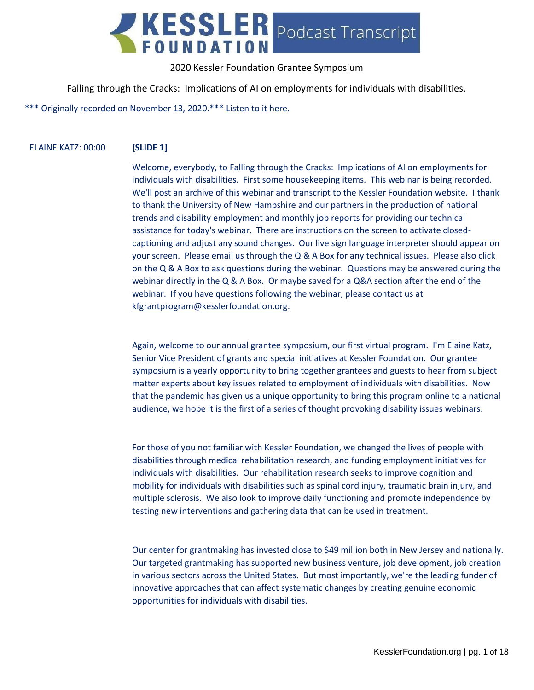

Falling through the Cracks: Implications of AI on employments for individuals with disabilities.

\*\*\* Originally recorded on November 13, 2020.\*\*\* [Listen to it here.](https://soundcloud.com/kesslerfoundation/falling-through-the-cracks-implications-of-ai-on-employments-for-individuals-with-disabilities)

#### ELAINE KATZ: 00:00 **[SLIDE 1]**

Welcome, everybody, to Falling through the Cracks: Implications of AI on employments for individuals with disabilities. First some housekeeping items. This webinar is being recorded. We'll post an archive of this webinar and transcript to the Kessler Foundation website. I thank to thank the University of New Hampshire and our partners in the production of national trends and disability employment and monthly job reports for providing our technical assistance for today's webinar. There are instructions on the screen to activate closedcaptioning and adjust any sound changes. Our live sign language interpreter should appear on your screen. Please email us through the Q & A Box for any technical issues. Please also click on the Q & A Box to ask questions during the webinar. Questions may be answered during the webinar directly in the Q & A Box. Or maybe saved for a Q&A section after the end of the webinar. If you have questions following the webinar, please contact us at [kfgrantprogram@kesslerfoundation.org.](mailto:kfgrantprogram@kesslerfoundation.org)

Again, welcome to our annual grantee symposium, our first virtual program. I'm Elaine Katz, Senior Vice President of grants and special initiatives at Kessler Foundation. Our grantee symposium is a yearly opportunity to bring together grantees and guests to hear from subject matter experts about key issues related to employment of individuals with disabilities. Now that the pandemic has given us a unique opportunity to bring this program online to a national audience, we hope it is the first of a series of thought provoking disability issues webinars.

For those of you not familiar with Kessler Foundation, we changed the lives of people with disabilities through medical rehabilitation research, and funding employment initiatives for individuals with disabilities. Our rehabilitation research seeks to improve cognition and mobility for individuals with disabilities such as spinal cord injury, traumatic brain injury, and multiple sclerosis. We also look to improve daily functioning and promote independence by testing new interventions and gathering data that can be used in treatment.

Our center for grantmaking has invested close to \$49 million both in New Jersey and nationally. Our targeted grantmaking has supported new business venture, job development, job creation in various sectors across the United States. But most importantly, we're the leading funder of innovative approaches that can affect systematic changes by creating genuine economic opportunities for individuals with disabilities.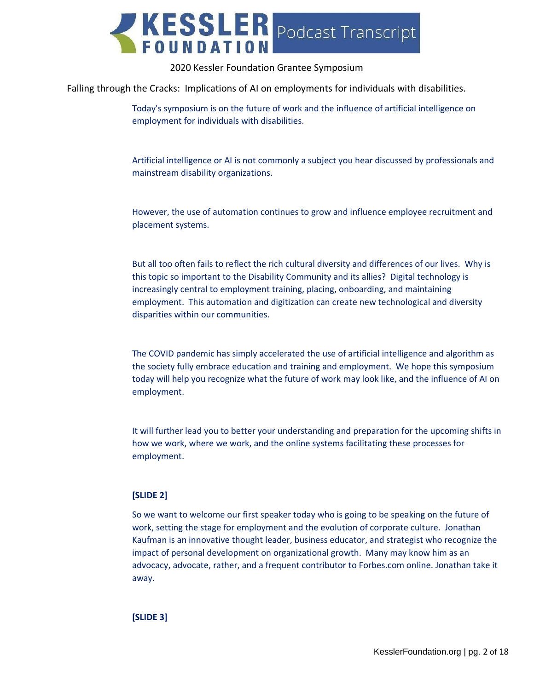

Falling through the Cracks: Implications of AI on employments for individuals with disabilities.

Today's symposium is on the future of work and the influence of artificial intelligence on employment for individuals with disabilities.

Artificial intelligence or AI is not commonly a subject you hear discussed by professionals and mainstream disability organizations.

However, the use of automation continues to grow and influence employee recruitment and placement systems.

But all too often fails to reflect the rich cultural diversity and differences of our lives. Why is this topic so important to the Disability Community and its allies? Digital technology is increasingly central to employment training, placing, onboarding, and maintaining employment. This automation and digitization can create new technological and diversity disparities within our communities.

The COVID pandemic has simply accelerated the use of artificial intelligence and algorithm as the society fully embrace education and training and employment. We hope this symposium today will help you recognize what the future of work may look like, and the influence of AI on employment.

It will further lead you to better your understanding and preparation for the upcoming shifts in how we work, where we work, and the online systems facilitating these processes for employment.

#### **[SLIDE 2]**

So we want to welcome our first speaker today who is going to be speaking on the future of work, setting the stage for employment and the evolution of corporate culture. Jonathan Kaufman is an innovative thought leader, business educator, and strategist who recognize the impact of personal development on organizational growth. Many may know him as an advocacy, advocate, rather, and a frequent contributor to Forbes.com online. Jonathan take it away.

**[SLIDE 3]**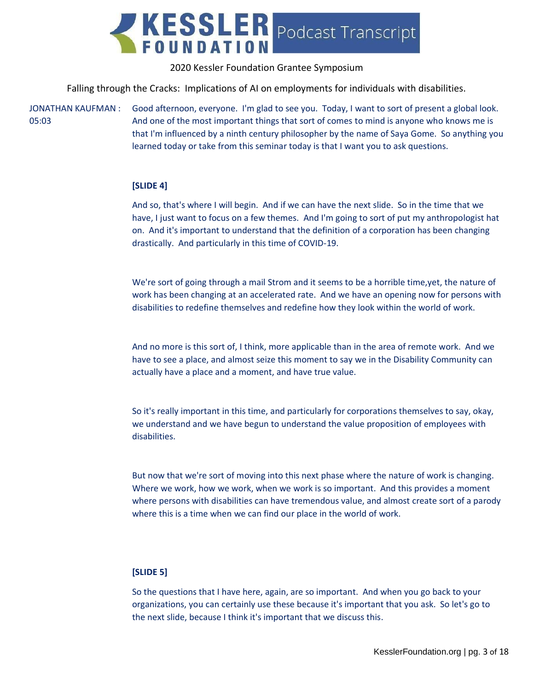

Falling through the Cracks: Implications of AI on employments for individuals with disabilities.

JONATHAN KAUFMAN : 05:03

Good afternoon, everyone. I'm glad to see you. Today, I want to sort of present a global look. And one of the most important things that sort of comes to mind is anyone who knows me is that I'm influenced by a ninth century philosopher by the name of Saya Gome. So anything you learned today or take from this seminar today is that I want you to ask questions.

## **[SLIDE 4]**

And so, that's where I will begin. And if we can have the next slide. So in the time that we have, I just want to focus on a few themes. And I'm going to sort of put my anthropologist hat on. And it's important to understand that the definition of a corporation has been changing drastically. And particularly in this time of COVID-19.

We're sort of going through a mail Strom and it seems to be a horrible time,yet, the nature of work has been changing at an accelerated rate. And we have an opening now for persons with disabilities to redefine themselves and redefine how they look within the world of work.

And no more is this sort of, I think, more applicable than in the area of remote work. And we have to see a place, and almost seize this moment to say we in the Disability Community can actually have a place and a moment, and have true value.

So it's really important in this time, and particularly for corporations themselves to say, okay, we understand and we have begun to understand the value proposition of employees with disabilities.

But now that we're sort of moving into this next phase where the nature of work is changing. Where we work, how we work, when we work is so important. And this provides a moment where persons with disabilities can have tremendous value, and almost create sort of a parody where this is a time when we can find our place in the world of work.

#### **[SLIDE 5]**

So the questions that I have here, again, are so important. And when you go back to your organizations, you can certainly use these because it's important that you ask. So let's go to the next slide, because I think it's important that we discuss this.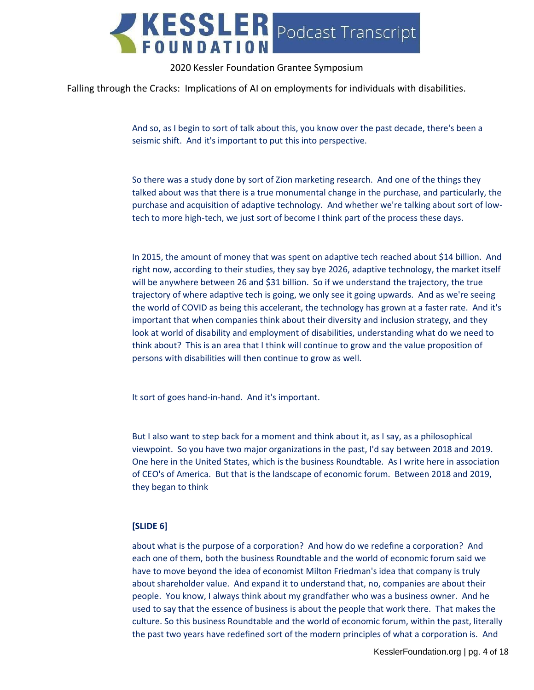

Falling through the Cracks: Implications of AI on employments for individuals with disabilities.

And so, as I begin to sort of talk about this, you know over the past decade, there's been a seismic shift. And it's important to put this into perspective.

So there was a study done by sort of Zion marketing research. And one of the things they talked about was that there is a true monumental change in the purchase, and particularly, the purchase and acquisition of adaptive technology. And whether we're talking about sort of lowtech to more high-tech, we just sort of become I think part of the process these days.

In 2015, the amount of money that was spent on adaptive tech reached about \$14 billion. And right now, according to their studies, they say bye 2026, adaptive technology, the market itself will be anywhere between 26 and \$31 billion. So if we understand the trajectory, the true trajectory of where adaptive tech is going, we only see it going upwards. And as we're seeing the world of COVID as being this accelerant, the technology has grown at a faster rate. And it's important that when companies think about their diversity and inclusion strategy, and they look at world of disability and employment of disabilities, understanding what do we need to think about? This is an area that I think will continue to grow and the value proposition of persons with disabilities will then continue to grow as well.

It sort of goes hand-in-hand. And it's important.

But I also want to step back for a moment and think about it, as I say, as a philosophical viewpoint. So you have two major organizations in the past, I'd say between 2018 and 2019. One here in the United States, which is the business Roundtable. As I write here in association of CEO's of America. But that is the landscape of economic forum. Between 2018 and 2019, they began to think

#### **[SLIDE 6]**

about what is the purpose of a corporation? And how do we redefine a corporation? And each one of them, both the business Roundtable and the world of economic forum said we have to move beyond the idea of economist Milton Friedman's idea that company is truly about shareholder value. And expand it to understand that, no, companies are about their people. You know, I always think about my grandfather who was a business owner. And he used to say that the essence of business is about the people that work there. That makes the culture. So this business Roundtable and the world of economic forum, within the past, literally the past two years have redefined sort of the modern principles of what a corporation is. And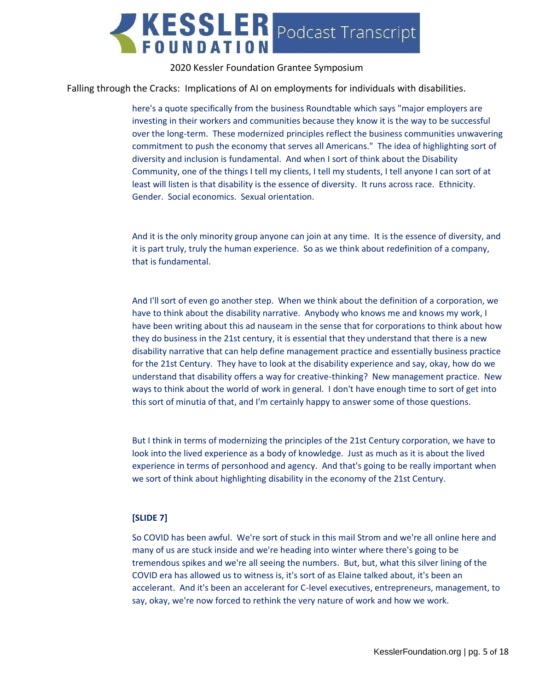

Falling through the Cracks: Implications of AI on employments for individuals with disabilities.

here's a quote specifically from the business Roundtable which says "major employers are investing in their workers and communities because they know it is the way to be successful over the long-term. These modernized principles reflect the business communities unwavering commitment to push the economy that serves all Americans." The idea of highlighting sort of diversity and inclusion is fundamental. And when I sort of think about the Disability Community, one of the things I tell my clients, I tell my students, I tell anyone I can sort of at least will listen is that disability is the essence of diversity. It runs across race. Ethnicity. Gender. Social economics. Sexual orientation.

And it is the only minority group anyone can join at any time. It is the essence of diversity, and it is part truly, truly the human experience. So as we think about redefinition of a company, that is fundamental.

And I'll sort of even go another step. When we think about the definition of a corporation, we have to think about the disability narrative. Anybody who knows me and knows my work, I have been writing about this ad nauseam in the sense that for corporations to think about how they do business in the 21st century, it is essential that they understand that there is a new disability narrative that can help define management practice and essentially business practice for the 21st Century. They have to look at the disability experience and say, okay, how do we understand that disability offers a way for creative-thinking? New management practice. New ways to think about the world of work in general. I don't have enough time to sort of get into this sort of minutia of that, and I'm certainly happy to answer some of those questions.

But I think in terms of modernizing the principles of the 21st Century corporation, we have to look into the lived experience as a body of knowledge. Just as much as it is about the lived experience in terms of personhood and agency. And that's going to be really important when we sort of think about highlighting disability in the economy of the 21st Century.

#### **[SLIDE 7]**

So COVID has been awful. We're sort of stuck in this mail Strom and we're all online here and many of us are stuck inside and we're heading into winter where there's going to be tremendous spikes and we're all seeing the numbers. But, but, what this silver lining of the COVID era has allowed us to witness is, it's sort of as Elaine talked about, it's been an accelerant. And it's been an accelerant for C-level executives, entrepreneurs, management, to say, okay, we're now forced to rethink the very nature of work and how we work.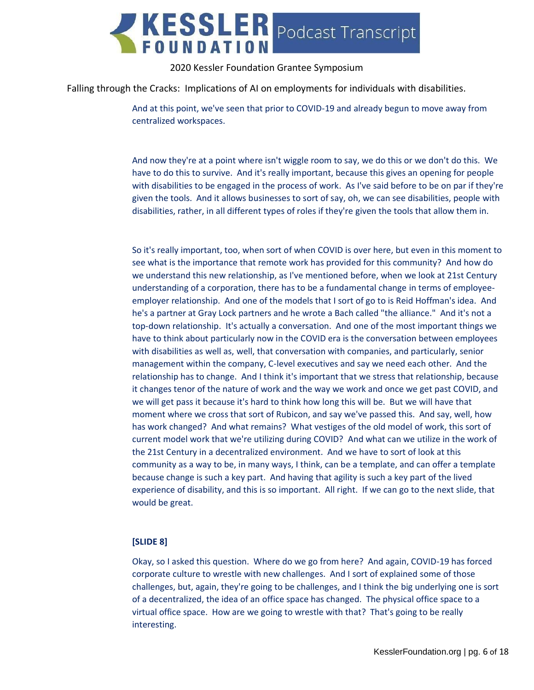

Falling through the Cracks: Implications of AI on employments for individuals with disabilities.

And at this point, we've seen that prior to COVID-19 and already begun to move away from centralized workspaces.

And now they're at a point where isn't wiggle room to say, we do this or we don't do this. We have to do this to survive. And it's really important, because this gives an opening for people with disabilities to be engaged in the process of work. As I've said before to be on par if they're given the tools. And it allows businesses to sort of say, oh, we can see disabilities, people with disabilities, rather, in all different types of roles if they're given the tools that allow them in.

So it's really important, too, when sort of when COVID is over here, but even in this moment to see what is the importance that remote work has provided for this community? And how do we understand this new relationship, as I've mentioned before, when we look at 21st Century understanding of a corporation, there has to be a fundamental change in terms of employeeemployer relationship. And one of the models that I sort of go to is Reid Hoffman's idea. And he's a partner at Gray Lock partners and he wrote a Bach called "the alliance." And it's not a top-down relationship. It's actually a conversation. And one of the most important things we have to think about particularly now in the COVID era is the conversation between employees with disabilities as well as, well, that conversation with companies, and particularly, senior management within the company, C-level executives and say we need each other. And the relationship has to change. And I think it's important that we stress that relationship, because it changes tenor of the nature of work and the way we work and once we get past COVID, and we will get pass it because it's hard to think how long this will be. But we will have that moment where we cross that sort of Rubicon, and say we've passed this. And say, well, how has work changed? And what remains? What vestiges of the old model of work, this sort of current model work that we're utilizing during COVID? And what can we utilize in the work of the 21st Century in a decentralized environment. And we have to sort of look at this community as a way to be, in many ways, I think, can be a template, and can offer a template because change is such a key part. And having that agility is such a key part of the lived experience of disability, and this is so important. All right. If we can go to the next slide, that would be great.

#### **[SLIDE 8]**

Okay, so I asked this question. Where do we go from here? And again, COVID-19 has forced corporate culture to wrestle with new challenges. And I sort of explained some of those challenges, but, again, they're going to be challenges, and I think the big underlying one is sort of a decentralized, the idea of an office space has changed. The physical office space to a virtual office space. How are we going to wrestle with that? That's going to be really interesting.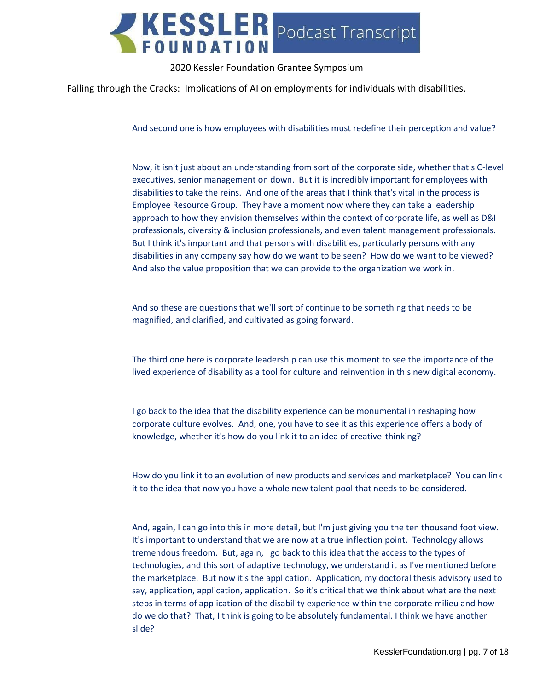

Falling through the Cracks: Implications of AI on employments for individuals with disabilities.

And second one is how employees with disabilities must redefine their perception and value?

Now, it isn't just about an understanding from sort of the corporate side, whether that's C-level executives, senior management on down. But it is incredibly important for employees with disabilities to take the reins. And one of the areas that I think that's vital in the process is Employee Resource Group. They have a moment now where they can take a leadership approach to how they envision themselves within the context of corporate life, as well as D&I professionals, diversity & inclusion professionals, and even talent management professionals. But I think it's important and that persons with disabilities, particularly persons with any disabilities in any company say how do we want to be seen? How do we want to be viewed? And also the value proposition that we can provide to the organization we work in.

And so these are questions that we'll sort of continue to be something that needs to be magnified, and clarified, and cultivated as going forward.

The third one here is corporate leadership can use this moment to see the importance of the lived experience of disability as a tool for culture and reinvention in this new digital economy.

I go back to the idea that the disability experience can be monumental in reshaping how corporate culture evolves. And, one, you have to see it as this experience offers a body of knowledge, whether it's how do you link it to an idea of creative-thinking?

How do you link it to an evolution of new products and services and marketplace? You can link it to the idea that now you have a whole new talent pool that needs to be considered.

And, again, I can go into this in more detail, but I'm just giving you the ten thousand foot view. It's important to understand that we are now at a true inflection point. Technology allows tremendous freedom. But, again, I go back to this idea that the access to the types of technologies, and this sort of adaptive technology, we understand it as I've mentioned before the marketplace. But now it's the application. Application, my doctoral thesis advisory used to say, application, application, application. So it's critical that we think about what are the next steps in terms of application of the disability experience within the corporate milieu and how do we do that? That, I think is going to be absolutely fundamental. I think we have another slide?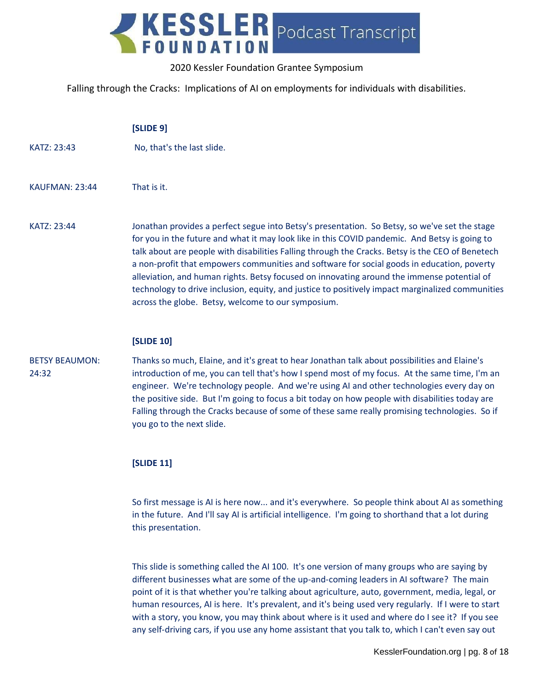KESSLER Podcast Transcript

## 2020 Kessler Foundation Grantee Symposium

Falling through the Cracks: Implications of AI on employments for individuals with disabilities.

|                                | [SLIDE 9]                                                                                                                                                                                                                                                                                                                                                                                                                                                                                                                                                                                                                                                |
|--------------------------------|----------------------------------------------------------------------------------------------------------------------------------------------------------------------------------------------------------------------------------------------------------------------------------------------------------------------------------------------------------------------------------------------------------------------------------------------------------------------------------------------------------------------------------------------------------------------------------------------------------------------------------------------------------|
| KATZ: 23:43                    | No, that's the last slide.                                                                                                                                                                                                                                                                                                                                                                                                                                                                                                                                                                                                                               |
| <b>KAUFMAN: 23:44</b>          | That is it.                                                                                                                                                                                                                                                                                                                                                                                                                                                                                                                                                                                                                                              |
| KATZ: 23:44                    | Jonathan provides a perfect segue into Betsy's presentation. So Betsy, so we've set the stage<br>for you in the future and what it may look like in this COVID pandemic. And Betsy is going to<br>talk about are people with disabilities Falling through the Cracks. Betsy is the CEO of Benetech<br>a non-profit that empowers communities and software for social goods in education, poverty<br>alleviation, and human rights. Betsy focused on innovating around the immense potential of<br>technology to drive inclusion, equity, and justice to positively impact marginalized communities<br>across the globe. Betsy, welcome to our symposium. |
|                                | <b>[SLIDE 10]</b>                                                                                                                                                                                                                                                                                                                                                                                                                                                                                                                                                                                                                                        |
| <b>BETSY BEAUMON:</b><br>24:32 | Thanks so much, Elaine, and it's great to hear Jonathan talk about possibilities and Elaine's<br>introduction of me, you can tell that's how I spend most of my focus. At the same time, I'm an<br>engineer. We're technology people. And we're using AI and other technologies every day on<br>the positive side. But I'm going to focus a bit today on how people with disabilities today are<br>Falling through the Cracks because of some of these same really promising technologies. So if<br>you go to the next slide.                                                                                                                            |

#### **[SLIDE 11]**

So first message is AI is here now... and it's everywhere. So people think about AI as something in the future. And I'll say AI is artificial intelligence. I'm going to shorthand that a lot during this presentation.

This slide is something called the AI 100. It's one version of many groups who are saying by different businesses what are some of the up-and-coming leaders in AI software? The main point of it is that whether you're talking about agriculture, auto, government, media, legal, or human resources, AI is here. It's prevalent, and it's being used very regularly. If I were to start with a story, you know, you may think about where is it used and where do I see it? If you see any self-driving cars, if you use any home assistant that you talk to, which I can't even say out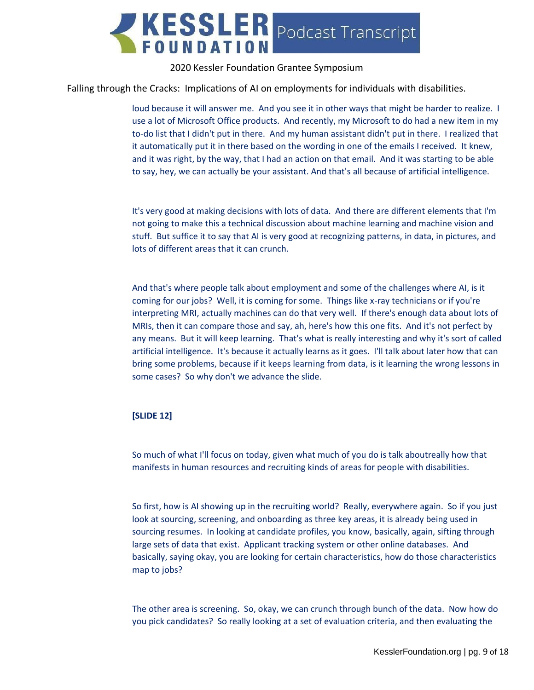

Falling through the Cracks: Implications of AI on employments for individuals with disabilities.

loud because it will answer me. And you see it in other ways that might be harder to realize. I use a lot of Microsoft Office products. And recently, my Microsoft to do had a new item in my to-do list that I didn't put in there. And my human assistant didn't put in there. I realized that it automatically put it in there based on the wording in one of the emails I received. It knew, and it was right, by the way, that I had an action on that email. And it was starting to be able to say, hey, we can actually be your assistant. And that's all because of artificial intelligence.

It's very good at making decisions with lots of data. And there are different elements that I'm not going to make this a technical discussion about machine learning and machine vision and stuff. But suffice it to say that AI is very good at recognizing patterns, in data, in pictures, and lots of different areas that it can crunch.

And that's where people talk about employment and some of the challenges where AI, is it coming for our jobs? Well, it is coming for some. Things like x-ray technicians or if you're interpreting MRI, actually machines can do that very well. If there's enough data about lots of MRIs, then it can compare those and say, ah, here's how this one fits. And it's not perfect by any means. But it will keep learning. That's what is really interesting and why it's sort of called artificial intelligence. It's because it actually learns as it goes. I'll talk about later how that can bring some problems, because if it keeps learning from data, is it learning the wrong lessons in some cases? So why don't we advance the slide.

#### **[SLIDE 12]**

So much of what I'll focus on today, given what much of you do is talk aboutreally how that manifests in human resources and recruiting kinds of areas for people with disabilities.

So first, how is AI showing up in the recruiting world? Really, everywhere again. So if you just look at sourcing, screening, and onboarding as three key areas, it is already being used in sourcing resumes. In looking at candidate profiles, you know, basically, again, sifting through large sets of data that exist. Applicant tracking system or other online databases. And basically, saying okay, you are looking for certain characteristics, how do those characteristics map to jobs?

The other area is screening. So, okay, we can crunch through bunch of the data. Now how do you pick candidates? So really looking at a set of evaluation criteria, and then evaluating the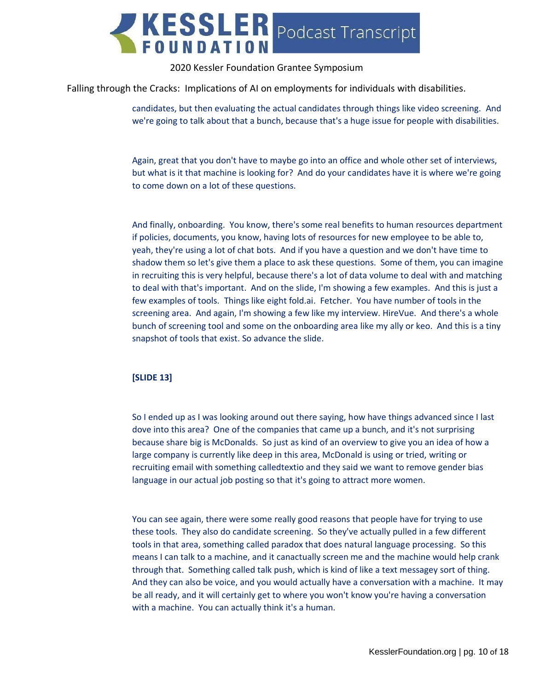

Falling through the Cracks: Implications of AI on employments for individuals with disabilities.

candidates, but then evaluating the actual candidates through things like video screening. And we're going to talk about that a bunch, because that's a huge issue for people with disabilities.

Again, great that you don't have to maybe go into an office and whole other set of interviews, but what is it that machine is looking for? And do your candidates have it is where we're going to come down on a lot of these questions.

And finally, onboarding. You know, there's some real benefits to human resources department if policies, documents, you know, having lots of resources for new employee to be able to, yeah, they're using a lot of chat bots. And if you have a question and we don't have time to shadow them so let's give them a place to ask these questions. Some of them, you can imagine in recruiting this is very helpful, because there's a lot of data volume to deal with and matching to deal with that's important. And on the slide, I'm showing a few examples. And this is just a few examples of tools. Things like eight fold.ai. Fetcher. You have number of tools in the screening area. And again, I'm showing a few like my interview. HireVue. And there's a whole bunch of screening tool and some on the onboarding area like my ally or keo. And this is a tiny snapshot of tools that exist. So advance the slide.

#### **[SLIDE 13]**

So I ended up as I was looking around out there saying, how have things advanced since I last dove into this area? One of the companies that came up a bunch, and it's not surprising because share big is McDonalds. So just as kind of an overview to give you an idea of how a large company is currently like deep in this area, McDonald is using or tried, writing or recruiting email with something calledtextio and they said we want to remove gender bias language in our actual job posting so that it's going to attract more women.

You can see again, there were some really good reasons that people have for trying to use these tools. They also do candidate screening. So they've actually pulled in a few different tools in that area, something called paradox that does natural language processing. So this means I can talk to a machine, and it canactually screen me and the machine would help crank through that. Something called talk push, which is kind of like a text messagey sort of thing. And they can also be voice, and you would actually have a conversation with a machine. It may be all ready, and it will certainly get to where you won't know you're having a conversation with a machine. You can actually think it's a human.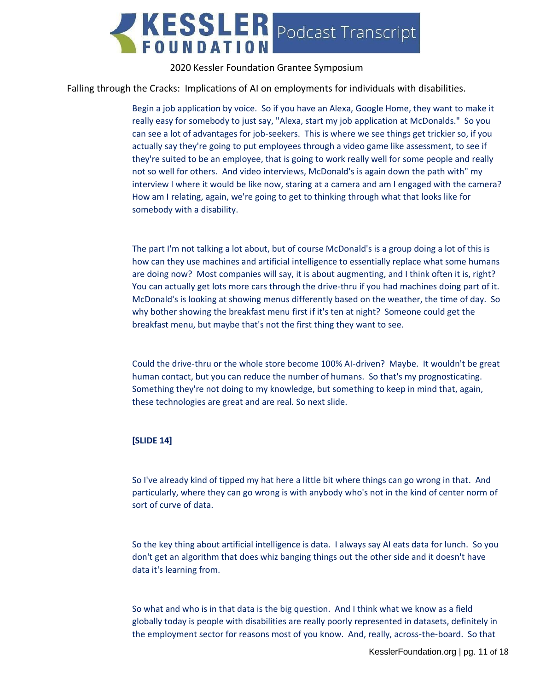

Falling through the Cracks: Implications of AI on employments for individuals with disabilities.

Begin a job application by voice. So if you have an Alexa, Google Home, they want to make it really easy for somebody to just say, "Alexa, start my job application at McDonalds." So you can see a lot of advantages for job-seekers. This is where we see things get trickier so, if you actually say they're going to put employees through a video game like assessment, to see if they're suited to be an employee, that is going to work really well for some people and really not so well for others. And video interviews, McDonald's is again down the path with" my interview I where it would be like now, staring at a camera and am I engaged with the camera? How am I relating, again, we're going to get to thinking through what that looks like for somebody with a disability.

The part I'm not talking a lot about, but of course McDonald's is a group doing a lot of this is how can they use machines and artificial intelligence to essentially replace what some humans are doing now? Most companies will say, it is about augmenting, and I think often it is, right? You can actually get lots more cars through the drive-thru if you had machines doing part of it. McDonald's is looking at showing menus differently based on the weather, the time of day. So why bother showing the breakfast menu first if it's ten at night? Someone could get the breakfast menu, but maybe that's not the first thing they want to see.

Could the drive-thru or the whole store become 100% AI-driven? Maybe. It wouldn't be great human contact, but you can reduce the number of humans. So that's my prognosticating. Something they're not doing to my knowledge, but something to keep in mind that, again, these technologies are great and are real. So next slide.

#### **[SLIDE 14]**

So I've already kind of tipped my hat here a little bit where things can go wrong in that. And particularly, where they can go wrong is with anybody who's not in the kind of center norm of sort of curve of data.

So the key thing about artificial intelligence is data. I always say AI eats data for lunch. So you don't get an algorithm that does whiz banging things out the other side and it doesn't have data it's learning from.

So what and who is in that data is the big question. And I think what we know as a field globally today is people with disabilities are really poorly represented in datasets, definitely in the employment sector for reasons most of you know. And, really, across-the-board. So that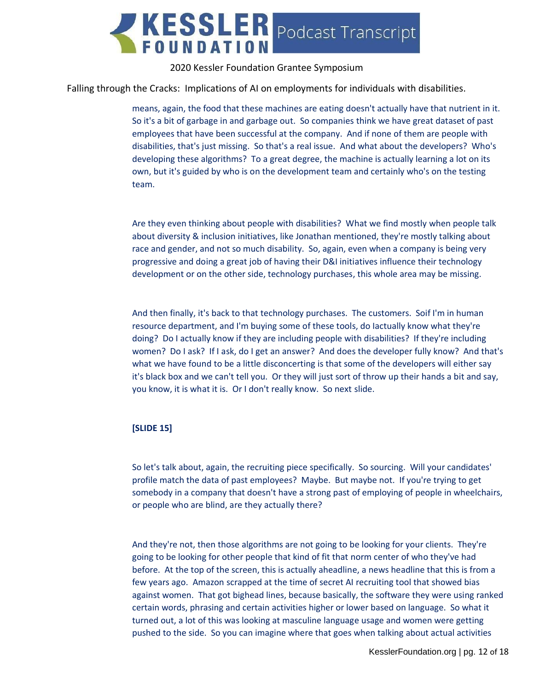

Falling through the Cracks: Implications of AI on employments for individuals with disabilities.

means, again, the food that these machines are eating doesn't actually have that nutrient in it. So it's a bit of garbage in and garbage out. So companies think we have great dataset of past employees that have been successful at the company. And if none of them are people with disabilities, that's just missing. So that's a real issue. And what about the developers? Who's developing these algorithms? To a great degree, the machine is actually learning a lot on its own, but it's guided by who is on the development team and certainly who's on the testing team.

Are they even thinking about people with disabilities? What we find mostly when people talk about diversity & inclusion initiatives, like Jonathan mentioned, they're mostly talking about race and gender, and not so much disability. So, again, even when a company is being very progressive and doing a great job of having their D&I initiatives influence their technology development or on the other side, technology purchases, this whole area may be missing.

And then finally, it's back to that technology purchases. The customers. Soif I'm in human resource department, and I'm buying some of these tools, do Iactually know what they're doing? Do I actually know if they are including people with disabilities? If they're including women? Do I ask? If I ask, do I get an answer? And does the developer fully know? And that's what we have found to be a little disconcerting is that some of the developers will either say it's black box and we can't tell you. Or they will just sort of throw up their hands a bit and say, you know, it is what it is. Or I don't really know. So next slide.

#### **[SLIDE 15]**

So let's talk about, again, the recruiting piece specifically. So sourcing. Will your candidates' profile match the data of past employees? Maybe. But maybe not. If you're trying to get somebody in a company that doesn't have a strong past of employing of people in wheelchairs, or people who are blind, are they actually there?

And they're not, then those algorithms are not going to be looking for your clients. They're going to be looking for other people that kind of fit that norm center of who they've had before. At the top of the screen, this is actually aheadline, a news headline that this is from a few years ago. Amazon scrapped at the time of secret AI recruiting tool that showed bias against women. That got bighead lines, because basically, the software they were using ranked certain words, phrasing and certain activities higher or lower based on language. So what it turned out, a lot of this was looking at masculine language usage and women were getting pushed to the side. So you can imagine where that goes when talking about actual activities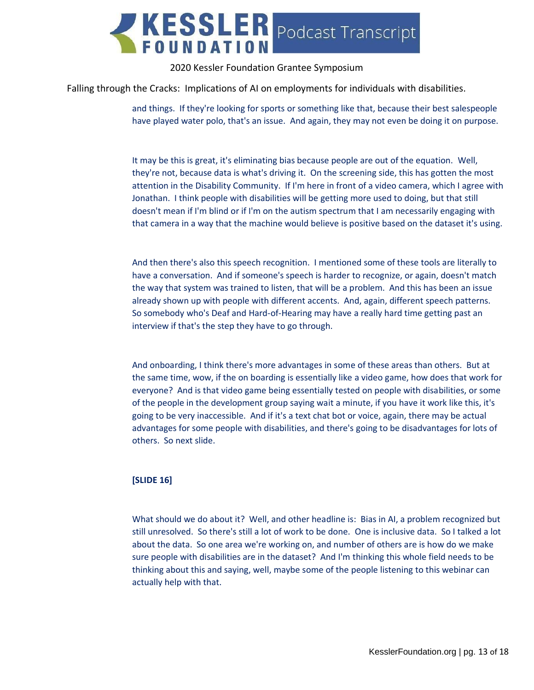

Falling through the Cracks: Implications of AI on employments for individuals with disabilities.

and things. If they're looking for sports or something like that, because their best salespeople have played water polo, that's an issue. And again, they may not even be doing it on purpose.

It may be this is great, it's eliminating bias because people are out of the equation. Well, they're not, because data is what's driving it. On the screening side, this has gotten the most attention in the Disability Community. If I'm here in front of a video camera, which I agree with Jonathan. I think people with disabilities will be getting more used to doing, but that still doesn't mean if I'm blind or if I'm on the autism spectrum that I am necessarily engaging with that camera in a way that the machine would believe is positive based on the dataset it's using.

And then there's also this speech recognition. I mentioned some of these tools are literally to have a conversation. And if someone's speech is harder to recognize, or again, doesn't match the way that system was trained to listen, that will be a problem. And this has been an issue already shown up with people with different accents. And, again, different speech patterns. So somebody who's Deaf and Hard-of-Hearing may have a really hard time getting past an interview if that's the step they have to go through.

And onboarding, I think there's more advantages in some of these areas than others. But at the same time, wow, if the on boarding is essentially like a video game, how does that work for everyone? And is that video game being essentially tested on people with disabilities, or some of the people in the development group saying wait a minute, if you have it work like this, it's going to be very inaccessible. And if it's a text chat bot or voice, again, there may be actual advantages for some people with disabilities, and there's going to be disadvantages for lots of others. So next slide.

#### **[SLIDE 16]**

What should we do about it? Well, and other headline is: Bias in AI, a problem recognized but still unresolved. So there's still a lot of work to be done. One is inclusive data. So I talked a lot about the data. So one area we're working on, and number of others are is how do we make sure people with disabilities are in the dataset? And I'm thinking this whole field needs to be thinking about this and saying, well, maybe some of the people listening to this webinar can actually help with that.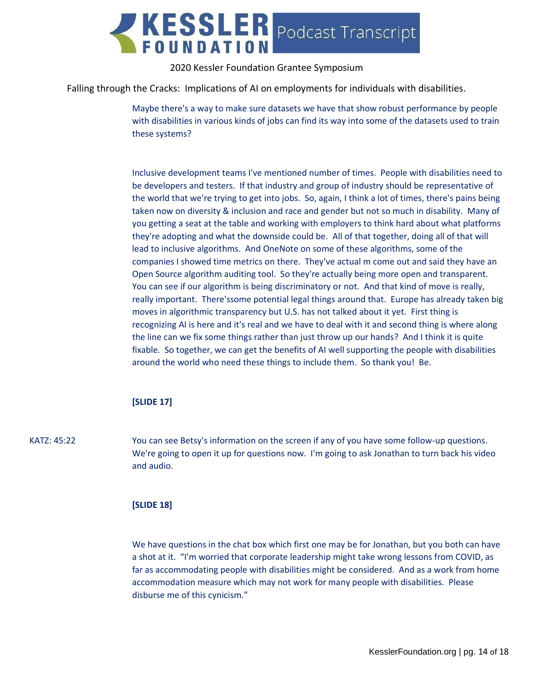

Falling through the Cracks: Implications of AI on employments for individuals with disabilities.

Maybe there's a way to make sure datasets we have that show robust performance by people with disabilities in various kinds of jobs can find its way into some of the datasets used to train these systems?

Inclusive development teams I've mentioned number of times. People with disabilities need to be developers and testers. If that industry and group of industry should be representative of the world that we're trying to get into jobs. So, again, I think a lot of times, there's pains being taken now on diversity & inclusion and race and gender but not so much in disability. Many of you getting a seat at the table and working with employers to think hard about what platforms they're adopting and what the downside could be. All of that together, doing all of that will lead to inclusive algorithms. And OneNote on some of these algorithms, some of the companies I showed time metrics on there. They've actual m come out and said they have an Open Source algorithm auditing tool. So they're actually being more open and transparent. You can see if our algorithm is being discriminatory or not. And that kind of move is really, really important. There'ssome potential legal things around that. Europe has already taken big moves in algorithmic transparency but U.S. has not talked about it yet. First thing is recognizing AI is here and it's real and we have to deal with it and second thing is where along the line can we fix some things rather than just throw up our hands? And I think it is quite fixable. So together, we can get the benefits of AI well supporting the people with disabilities around the world who need these things to include them. So thank you! Be.

## **[SLIDE 17]**

KATZ: 45:22 You can see Betsy's information on the screen if any of you have some follow-up questions. We're going to open it up for questions now. I'm going to ask Jonathan to turn back his video and audio.

#### **[SLIDE 18]**

We have questions in the chat box which first one may be for Jonathan, but you both can have a shot at it. "I'm worried that corporate leadership might take wrong lessons from COVID, as far as accommodating people with disabilities might be considered. And as a work from home accommodation measure which may not work for many people with disabilities. Please disburse me of this cynicism."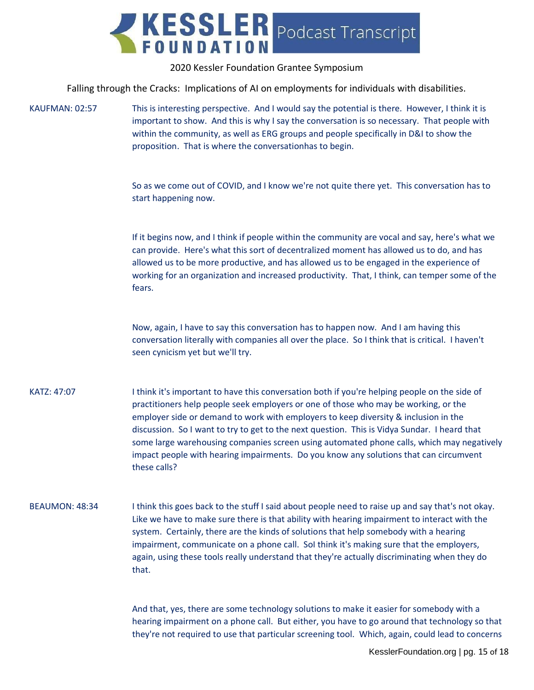

Falling through the Cracks: Implications of AI on employments for individuals with disabilities.

KAUFMAN: 02:57 This is interesting perspective. And I would say the potential is there. However, I think it is important to show. And this is why I say the conversation is so necessary. That people with within the community, as well as ERG groups and people specifically in D&I to show the proposition. That is where the conversationhas to begin.

> So as we come out of COVID, and I know we're not quite there yet. This conversation has to start happening now.

If it begins now, and I think if people within the community are vocal and say, here's what we can provide. Here's what this sort of decentralized moment has allowed us to do, and has allowed us to be more productive, and has allowed us to be engaged in the experience of working for an organization and increased productivity. That, I think, can temper some of the fears.

Now, again, I have to say this conversation has to happen now. And I am having this conversation literally with companies all over the place. So I think that is critical. I haven't seen cynicism yet but we'll try.

KATZ: 47:07 I think it's important to have this conversation both if you're helping people on the side of practitioners help people seek employers or one of those who may be working, or the employer side or demand to work with employers to keep diversity & inclusion in the discussion. So I want to try to get to the next question. This is Vidya Sundar. I heard that some large warehousing companies screen using automated phone calls, which may negatively impact people with hearing impairments. Do you know any solutions that can circumvent these calls?

# BEAUMON: 48:34 I think this goes back to the stuff I said about people need to raise up and say that's not okay. Like we have to make sure there is that ability with hearing impairment to interact with the system. Certainly, there are the kinds of solutions that help somebody with a hearing impairment, communicate on a phone call. SoI think it's making sure that the employers, again, using these tools really understand that they're actually discriminating when they do that.

And that, yes, there are some technology solutions to make it easier for somebody with a hearing impairment on a phone call. But either, you have to go around that technology so that they're not required to use that particular screening tool. Which, again, could lead to concerns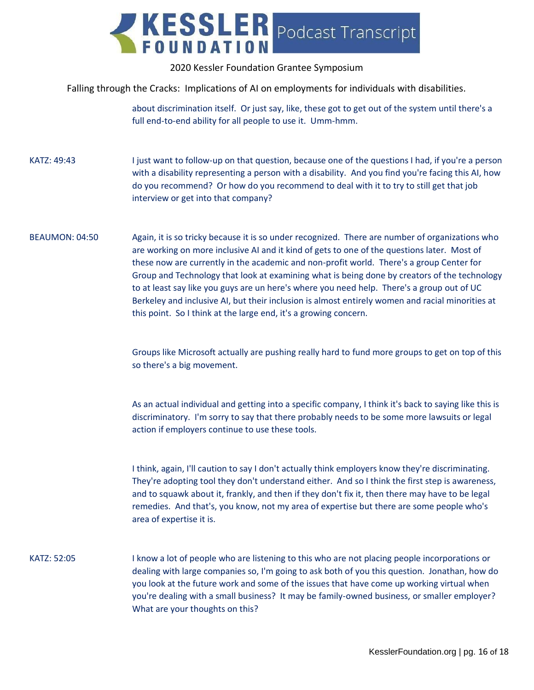

Falling through the Cracks: Implications of AI on employments for individuals with disabilities.

about discrimination itself. Or just say, like, these got to get out of the system until there's a full end-to-end ability for all people to use it. Umm-hmm.

KATZ: 49:43 I just want to follow-up on that question, because one of the questions I had, if you're a person with a disability representing a person with a disability. And you find you're facing this AI, how do you recommend? Or how do you recommend to deal with it to try to still get that job interview or get into that company?

BEAUMON: 04:50 Again, it is so tricky because it is so under recognized. There are number of organizations who are working on more inclusive AI and it kind of gets to one of the questions later. Most of these now are currently in the academic and non-profit world. There's a group Center for Group and Technology that look at examining what is being done by creators of the technology to at least say like you guys are un here's where you need help. There's a group out of UC Berkeley and inclusive AI, but their inclusion is almost entirely women and racial minorities at this point. So I think at the large end, it's a growing concern.

> Groups like Microsoft actually are pushing really hard to fund more groups to get on top of this so there's a big movement.

> As an actual individual and getting into a specific company, I think it's back to saying like this is discriminatory. I'm sorry to say that there probably needs to be some more lawsuits or legal action if employers continue to use these tools.

> I think, again, I'll caution to say I don't actually think employers know they're discriminating. They're adopting tool they don't understand either. And so I think the first step is awareness, and to squawk about it, frankly, and then if they don't fix it, then there may have to be legal remedies. And that's, you know, not my area of expertise but there are some people who's area of expertise it is.

KATZ: 52:05 I know a lot of people who are listening to this who are not placing people incorporations or dealing with large companies so, I'm going to ask both of you this question. Jonathan, how do you look at the future work and some of the issues that have come up working virtual when you're dealing with a small business? It may be family-owned business, or smaller employer? What are your thoughts on this?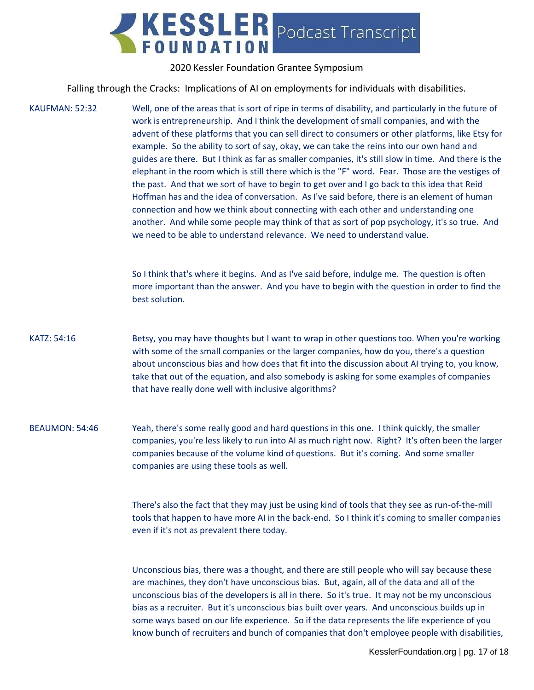

Falling through the Cracks: Implications of AI on employments for individuals with disabilities.

KAUFMAN: 52:32 Well, one of the areas that is sort of ripe in terms of disability, and particularly in the future of work is entrepreneurship. And I think the development of small companies, and with the advent of these platforms that you can sell direct to consumers or other platforms, like Etsy for example. So the ability to sort of say, okay, we can take the reins into our own hand and guides are there. But I think as far as smaller companies, it's still slow in time. And there is the elephant in the room which is still there which is the "F" word. Fear. Those are the vestiges of the past. And that we sort of have to begin to get over and I go back to this idea that Reid Hoffman has and the idea of conversation. As I've said before, there is an element of human connection and how we think about connecting with each other and understanding one another. And while some people may think of that as sort of pop psychology, it's so true. And we need to be able to understand relevance. We need to understand value. So I think that's where it begins. And as I've said before, indulge me. The question is often more important than the answer. And you have to begin with the question in order to find the best solution. KATZ: 54:16 Betsy, you may have thoughts but I want to wrap in other questions too. When you're working with some of the small companies or the larger companies, how do you, there's a question

about unconscious bias and how does that fit into the discussion about AI trying to, you know, take that out of the equation, and also somebody is asking for some examples of companies that have really done well with inclusive algorithms?

BEAUMON: 54:46 Yeah, there's some really good and hard questions in this one. I think quickly, the smaller companies, you're less likely to run into AI as much right now. Right? It's often been the larger companies because of the volume kind of questions. But it's coming. And some smaller companies are using these tools as well.

> There's also the fact that they may just be using kind of tools that they see as run-of-the-mill tools that happen to have more AI in the back-end. So I think it's coming to smaller companies even if it's not as prevalent there today.

> Unconscious bias, there was a thought, and there are still people who will say because these are machines, they don't have unconscious bias. But, again, all of the data and all of the unconscious bias of the developers is all in there. So it's true. It may not be my unconscious bias as a recruiter. But it's unconscious bias built over years. And unconscious builds up in some ways based on our life experience. So if the data represents the life experience of you know bunch of recruiters and bunch of companies that don't employee people with disabilities,